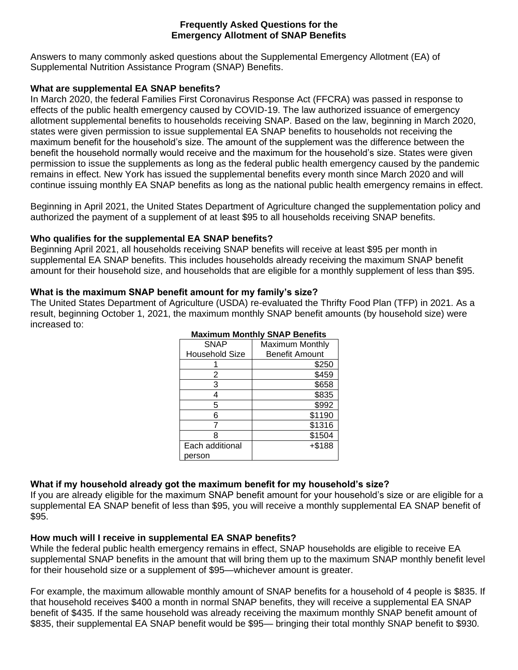#### **Frequently Asked Questions for the Emergency Allotment of SNAP Benefits**

Answers to many commonly asked questions about the Supplemental Emergency Allotment (EA) of Supplemental Nutrition Assistance Program (SNAP) Benefits.

## **What are supplemental EA SNAP benefits?**

In March 2020, the federal Families First Coronavirus Response Act (FFCRA) was passed in response to effects of the public health emergency caused by COVID-19. The law authorized issuance of emergency allotment supplemental benefits to households receiving SNAP. Based on the law, beginning in March 2020, states were given permission to issue supplemental EA SNAP benefits to households not receiving the maximum benefit for the household's size. The amount of the supplement was the difference between the benefit the household normally would receive and the maximum for the household's size. States were given permission to issue the supplements as long as the federal public health emergency caused by the pandemic remains in effect. New York has issued the supplemental benefits every month since March 2020 and will continue issuing monthly EA SNAP benefits as long as the national public health emergency remains in effect.

Beginning in April 2021, the United States Department of Agriculture changed the supplementation policy and authorized the payment of a supplement of at least \$95 to all households receiving SNAP benefits.

#### **Who qualifies for the supplemental EA SNAP benefits?**

Beginning April 2021, all households receiving SNAP benefits will receive at least \$95 per month in supplemental EA SNAP benefits. This includes households already receiving the maximum SNAP benefit amount for their household size, and households that are eligible for a monthly supplement of less than \$95.

#### **What is the maximum SNAP benefit amount for my family's size?**

The United States Department of Agriculture (USDA) re-evaluated the Thrifty Food Plan (TFP) in 2021. As a result, beginning October 1, 2021, the maximum monthly SNAP benefit amounts (by household size) were increased to:

| <b>SNAP</b>           | Maximum Monthly |
|-----------------------|-----------------|
| <b>Household Size</b> | Benefit Amount  |
|                       | \$250           |
| 2                     | \$459           |
| 3                     | \$658           |
|                       | \$835           |
| 5                     | \$992           |
| 6                     | \$1190          |
|                       | \$1316          |
| 8                     | \$1504          |
| Each additional       | $+ $188$        |
| person                |                 |

# **Maximum Monthly SNAP Benefits**

## **What if my household already got the maximum benefit for my household's size?**

If you are already eligible for the maximum SNAP benefit amount for your household's size or are eligible for a supplemental EA SNAP benefit of less than \$95, you will receive a monthly supplemental EA SNAP benefit of \$95.

## **How much will I receive in supplemental EA SNAP benefits?**

While the federal public health emergency remains in effect, SNAP households are eligible to receive EA supplemental SNAP benefits in the amount that will bring them up to the maximum SNAP monthly benefit level for their household size or a supplement of \$95—whichever amount is greater.

For example, the maximum allowable monthly amount of SNAP benefits for a household of 4 people is \$835. If that household receives \$400 a month in normal SNAP benefits, they will receive a supplemental EA SNAP benefit of \$435. If the same household was already receiving the maximum monthly SNAP benefit amount of \$835, their supplemental EA SNAP benefit would be \$95— bringing their total monthly SNAP benefit to \$930.